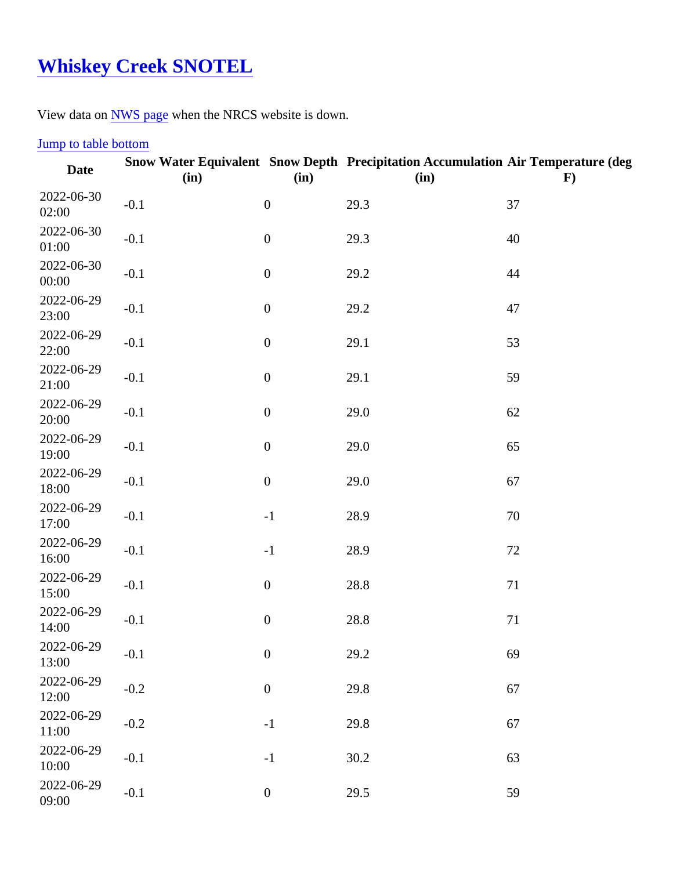## [Whiskey Creek SNOTEL](https://www.mtavalanche.com/weather/stations/whiskey-creek)

View data o[n NWS page](http://www.wrh.noaa.gov/mesowest/getobext.php?wfo=mso&sid=WSKM8&num=168&raw=0&dbn=m)when the NRCS website is down.

## Jump to table bottom

| Date                | (in)   | (in)             | Snow Water Equivalent Snow Depth Precipitation Accumulation Air Temperature (deg<br>(in) | F) |
|---------------------|--------|------------------|------------------------------------------------------------------------------------------|----|
| 2022-06-30<br>02:00 | $-0.1$ | $\pmb{0}$        | 29.3                                                                                     | 37 |
| 2022-06-30<br>01:00 | $-0.1$ | $\overline{0}$   | 29.3                                                                                     | 40 |
| 2022-06-30<br>00:00 | $-0.1$ | $\pmb{0}$        | 29.2                                                                                     | 44 |
| 2022-06-29<br>23:00 | $-0.1$ | $\pmb{0}$        | 29.2                                                                                     | 47 |
| 2022-06-29<br>22:00 | $-0.1$ | $\pmb{0}$        | 29.1                                                                                     | 53 |
| 2022-06-29<br>21:00 | $-0.1$ | $\pmb{0}$        | 29.1                                                                                     | 59 |
| 2022-06-29<br>20:00 | $-0.1$ | $\pmb{0}$        | 29.0                                                                                     | 62 |
| 2022-06-29<br>19:00 | $-0.1$ | $\boldsymbol{0}$ | 29.0                                                                                     | 65 |
| 2022-06-29<br>18:00 | $-0.1$ | $\pmb{0}$        | 29.0                                                                                     | 67 |
| 2022-06-29<br>17:00 | $-0.1$ | $-1$             | 28.9                                                                                     | 70 |
| 2022-06-29<br>16:00 | $-0.1$ | $-1$             | 28.9                                                                                     | 72 |
| 2022-06-29<br>15:00 | $-0.1$ | $\pmb{0}$        | 28.8                                                                                     | 71 |
| 2022-06-29<br>14:00 | $-0.1$ | $\pmb{0}$        | 28.8                                                                                     | 71 |
| 2022-06-29<br>13:00 | $-0.1$ | $\mathbf 0$      | 29.2                                                                                     | 69 |
| 2022-06-29<br>12:00 | $-0.2$ | $\pmb{0}$        | 29.8                                                                                     | 67 |
| 2022-06-29<br>11:00 | $-0.2$ | $-1$             | 29.8                                                                                     | 67 |
| 2022-06-29<br>10:00 | $-0.1$ | $-1$             | 30.2                                                                                     | 63 |
| 2022-06-29<br>09:00 | $-0.1$ | $\boldsymbol{0}$ | 29.5                                                                                     | 59 |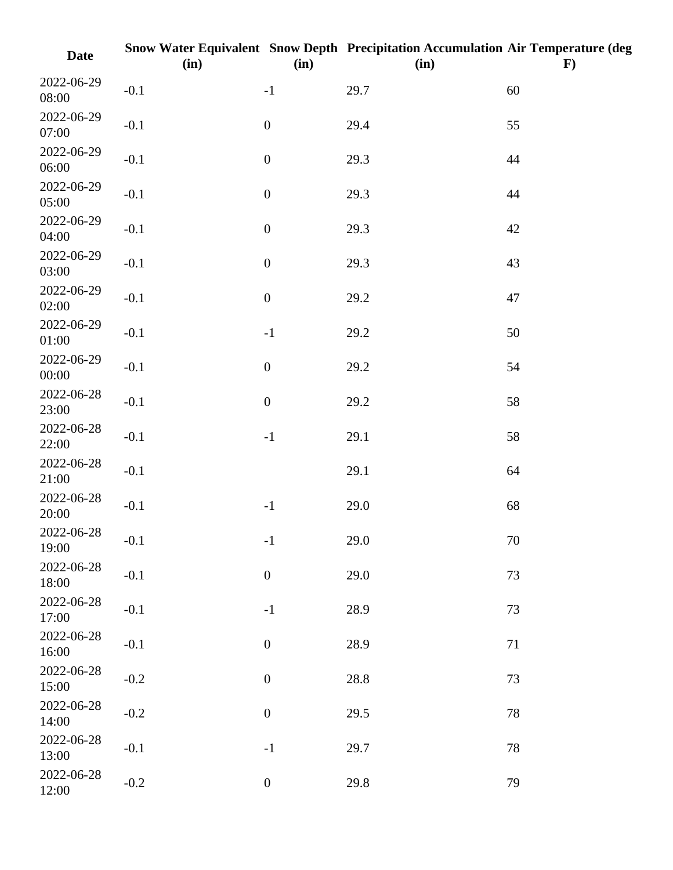| <b>Date</b>         | (in)   | (in)             | Snow Water Equivalent Snow Depth Precipitation Accumulation Air Temperature (deg<br>(in) | $\mathbf{F}$ |
|---------------------|--------|------------------|------------------------------------------------------------------------------------------|--------------|
| 2022-06-29<br>08:00 | $-0.1$ | $-1$             | 29.7                                                                                     | 60           |
| 2022-06-29<br>07:00 | $-0.1$ | $\boldsymbol{0}$ | 29.4                                                                                     | 55           |
| 2022-06-29<br>06:00 | $-0.1$ | $\boldsymbol{0}$ | 29.3                                                                                     | 44           |
| 2022-06-29<br>05:00 | $-0.1$ | $\boldsymbol{0}$ | 29.3                                                                                     | 44           |
| 2022-06-29<br>04:00 | $-0.1$ | $\boldsymbol{0}$ | 29.3                                                                                     | 42           |
| 2022-06-29<br>03:00 | $-0.1$ | $\boldsymbol{0}$ | 29.3                                                                                     | 43           |
| 2022-06-29<br>02:00 | $-0.1$ | $\boldsymbol{0}$ | 29.2                                                                                     | 47           |
| 2022-06-29<br>01:00 | $-0.1$ | $-1$             | 29.2                                                                                     | 50           |
| 2022-06-29<br>00:00 | $-0.1$ | $\boldsymbol{0}$ | 29.2                                                                                     | 54           |
| 2022-06-28<br>23:00 | $-0.1$ | $\boldsymbol{0}$ | 29.2                                                                                     | 58           |
| 2022-06-28<br>22:00 | $-0.1$ | $-1$             | 29.1                                                                                     | 58           |
| 2022-06-28<br>21:00 | $-0.1$ |                  | 29.1                                                                                     | 64           |
| 2022-06-28<br>20:00 | $-0.1$ | $-1$             | 29.0                                                                                     | 68           |
| 2022-06-28<br>19:00 | $-0.1$ | $\mathbf{-1}$    | 29.0                                                                                     | 70           |
| 2022-06-28<br>18:00 | $-0.1$ | $\boldsymbol{0}$ | 29.0                                                                                     | 73           |
| 2022-06-28<br>17:00 | $-0.1$ | $-1$             | 28.9                                                                                     | 73           |
| 2022-06-28<br>16:00 | $-0.1$ | $\boldsymbol{0}$ | 28.9                                                                                     | 71           |
| 2022-06-28<br>15:00 | $-0.2$ | $\boldsymbol{0}$ | 28.8                                                                                     | $73\,$       |
| 2022-06-28<br>14:00 | $-0.2$ | $\boldsymbol{0}$ | 29.5                                                                                     | 78           |
| 2022-06-28<br>13:00 | $-0.1$ | $-1$             | 29.7                                                                                     | 78           |
| 2022-06-28<br>12:00 | $-0.2$ | $\boldsymbol{0}$ | 29.8                                                                                     | 79           |